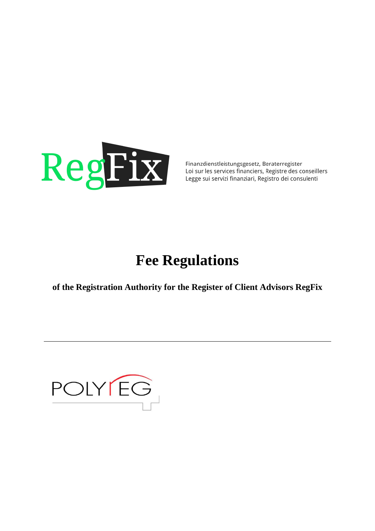

Finanzdienstleistungsgesetz, Beraterregister Loi sur les services financiers, Registre des conseillers Legge sui servizi finanziari, Registro dei consulenti

# **Fee Regulations**

of the Registration Authority for the Register of Client Advisors RegFix

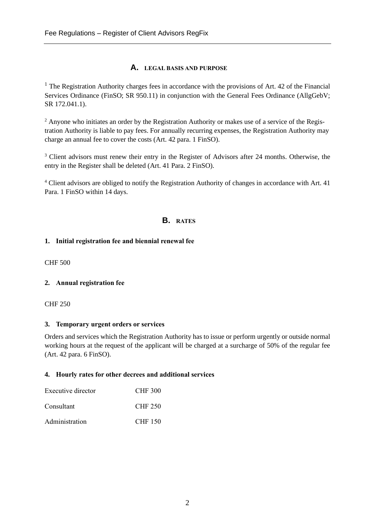## **A. LEGAL BASIS AND PURPOSE**

 $<sup>1</sup>$  The Registration Authority charges fees in accordance with the provisions of Art. 42 of the Financial</sup> Services Ordinance (FinSO; SR 950.11) in conjunction with the General Fees Ordinance (AllgGebV; SR 172.041.1).

<sup>2</sup> Anyone who initiates an order by the Registration Authority or makes use of a service of the Registration Authority is liable to pay fees. For annually recurring expenses, the Registration Authority may charge an annual fee to cover the costs (Art. 42 para. 1 FinSO).

<sup>3</sup> Client advisors must renew their entry in the Register of Advisors after 24 months. Otherwise, the entry in the Register shall be deleted (Art. 41 Para. 2 FinSO).

<sup>4</sup> Client advisors are obliged to notify the Registration Authority of changes in accordance with Art. 41 Para. 1 FinSO within 14 days.

# **B. RATES**

### **1. Initial registration fee and biennial renewal fee**

CHF 500

## **2. Annual registration fee**

CHF 250

#### **3. Temporary urgent orders or services**

Orders and services which the Registration Authority has to issue or perform urgently or outside normal working hours at the request of the applicant will be charged at a surcharge of 50% of the regular fee (Art. 42 para. 6 FinSO).

#### **4. Hourly rates for other decrees and additional services**

| Executive director | <b>CHF 300</b> |
|--------------------|----------------|
| Consultant         | <b>CHF 250</b> |
| Administration     | <b>CHF 150</b> |